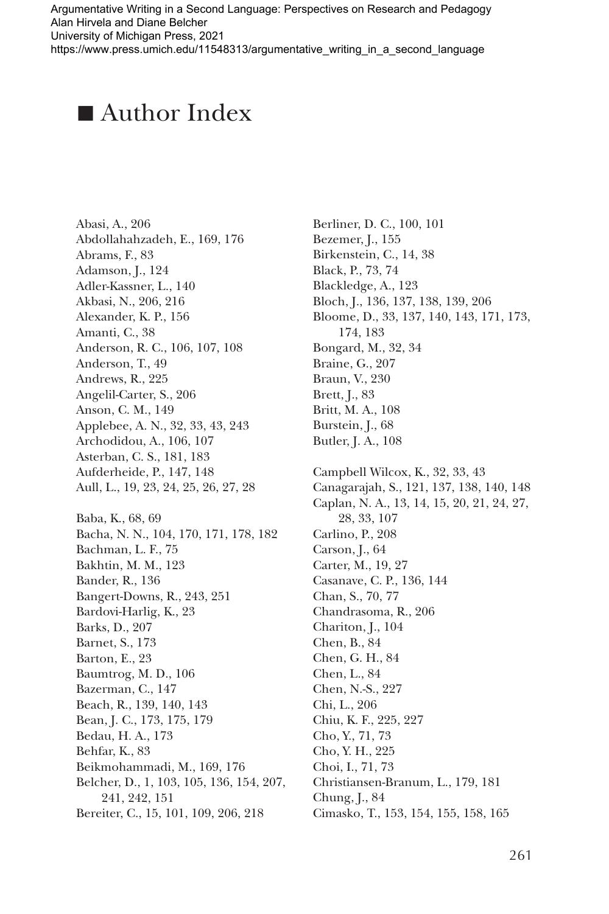## **n** $\blacksquare$  Author Index

Abasi, A., 206 Abdollahahzadeh, E., 169, 176 Abrams, F., 83 Adamson, J., 124 Adler-Kassner, L., 140 Akbasi, N., 206, 216 Alexander, K. P., 156 Amanti, C., 38 Anderson, R. C., 106, 107, 108 Anderson, T., 49 Andrews, R., 225 Angelil-Carter, S., 206 Anson, C. M., 149 Applebee, A. N., 32, 33, 43, 243 Archodidou, A., 106, 107 Asterban, C. S., 181, 183 Aufderheide, P., 147, 148 Aull, L., 19, 23, 24, 25, 26, 27, 28 Baba, K., 68, 69 Bacha, N. N., 104, 170, 171, 178, 182 Bachman, L. F., 75 Bakhtin, M. M., 123 Bander, R., 136 Bangert-Downs, R., 243, 251 Bardovi-Harlig, K., 23 Barks, D., 207 Barnet, S., 173 Barton, E., 23 Baumtrog, M. D., 106 Bazerman, C., 147 Beach, R., 139, 140, 143 Bean, J. C., 173, 175, 179 Bedau, H. A., 173 Behfar, K., 83 Beikmohammadi, M., 169, 176 Belcher, D., 1, 103, 105, 136, 154, 207, 241, 242, 151 Bereiter, C., 15, 101, 109, 206, 218

Berliner, D. C., 100, 101 Bezemer, J., 155 Birkenstein, C., 14, 38 Black, P., 73, 74 Blackledge, A., 123 Bloch, J., 136, 137, 138, 139, 206 Bloome, D., 33, 137, 140, 143, 171, 173, 174, 183 Bongard, M., 32, 34 Braine, G., 207 Braun, V., 230 Brett, J., 83 Britt, M. A., 108 Burstein, J., 68 Butler, J. A., 108 Campbell Wilcox, K., 32, 33, 43 Canagarajah, S., 121, 137, 138, 140, 148 Caplan, N. A., 13, 14, 15, 20, 21, 24, 27, 28, 33, 107 Carlino, P., 208 Carson, J., 64 Carter, M., 19, 27 Casanave, C. P., 136, 144 Chan, S., 70, 77 Chandrasoma, R., 206 Chariton, J., 104 Chen, B., 84 Chen, G. H., 84 Chen, L., 84 Chen, N.-S., 227 Chi, L., 206 Chiu, K. F., 225, 227 Cho, Y., 71, 73 Cho, Y. H., 225 Choi, I., 71, 73 Christiansen-Branum, L., 179, 181 Chung, J., 84 Cimasko, T., 153, 154, 155, 158, 165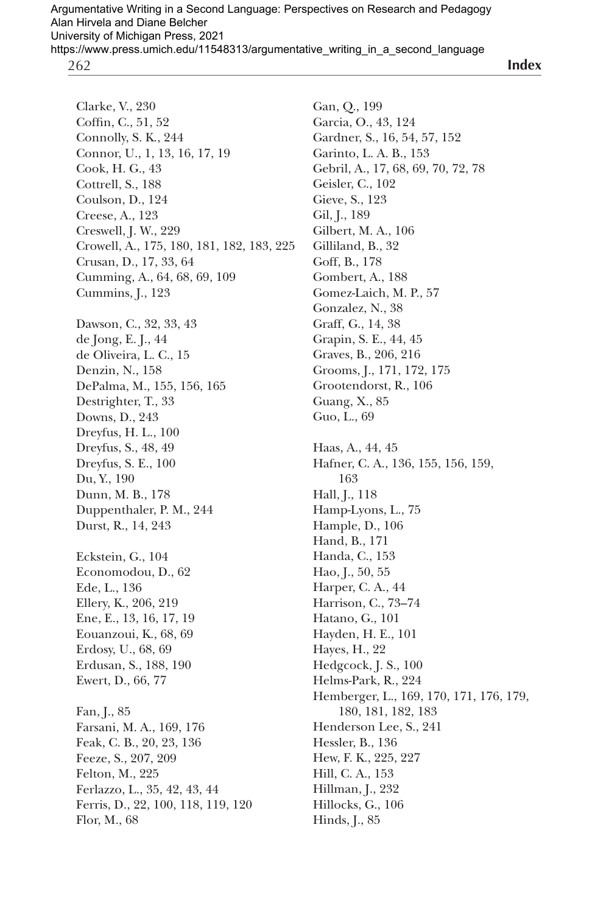**Index**

Clarke, V., 230 Coffin, C., 51, 52 Connolly, S. K., 244 Connor, U., 1, 13, 16, 17, 19 Cook, H. G., 43 Cottrell, S., 188 Coulson, D., 124 Creese, A., 123 Creswell, J. W., 229 Crowell, A., 175, 180, 181, 182, 183, 225 Crusan, D., 17, 33, 64 Cumming, A., 64, 68, 69, 109 Cummins, J., 123 Dawson, C., 32, 33, 43 de Jong, E. J., 44 de Oliveira, L. C., 15 Denzin, N., 158 DePalma, M., 155, 156, 165 Destrighter, T., 33 Downs, D., 243 Dreyfus, H. L., 100 Dreyfus, S., 48, 49 Dreyfus, S. E., 100 Du, Y., 190 Dunn, M. B., 178 Duppenthaler, P. M., 244 Durst, R., 14, 243 Eckstein, G., 104 Economodou, D., 62 Ede, L., 136 Ellery, K., 206, 219 Ene, E., 13, 16, 17, 19 Eouanzoui, K., 68, 69 Erdosy, U., 68, 69 Erdusan, S., 188, 190 Ewert, D., 66, 77 Fan, J., 85 Farsani, M. A., 169, 176 Feak, C. B., 20, 23, 136 Feeze, S., 207, 209 Felton, M., 225 Ferlazzo, L., 35, 42, 43, 44 Ferris, D., 22, 100, 118, 119, 120 Flor, M., 68

Gan, Q., 199 Garcia, O., 43, 124 Gardner, S., 16, 54, 57, 152 Garinto, L. A. B., 153 Gebril, A., 17, 68, 69, 70, 72, 78 Geisler, C., 102 Gieve, S., 123 Gil, J., 189 Gilbert, M. A., 106 Gilliland, B., 32 Goff, B., 178 Gombert, A., 188 Gomez-Laich, M. P., 57 Gonzalez, N., 38 Graff, G., 14, 38 Grapin, S. E., 44, 45 Graves, B., 206, 216 Grooms, J., 171, 172, 175 Grootendorst, R., 106 Guang, X., 85 Guo, L., 69 Haas, A., 44, 45 Hafner, C. A., 136, 155, 156, 159, 163 Hall, J., 118 Hamp-Lyons, L., 75 Hample, D., 106 Hand, B., 171 Handa, C., 153 Hao, J., 50, 55 Harper, C. A., 44 Harrison, C., 73–74 Hatano, G., 101 Hayden, H. E., 101 Hayes, H., 22 Hedgcock, J. S., 100 Helms-Park, R., 224 Hemberger, L., 169, 170, 171, 176, 179, 180, 181, 182, 183 Henderson Lee, S., 241 Hessler, B., 136 Hew, F. K., 225, 227 Hill, C. A., 153 Hillman, J., 232 Hillocks, G., 106 Hinds, J., 85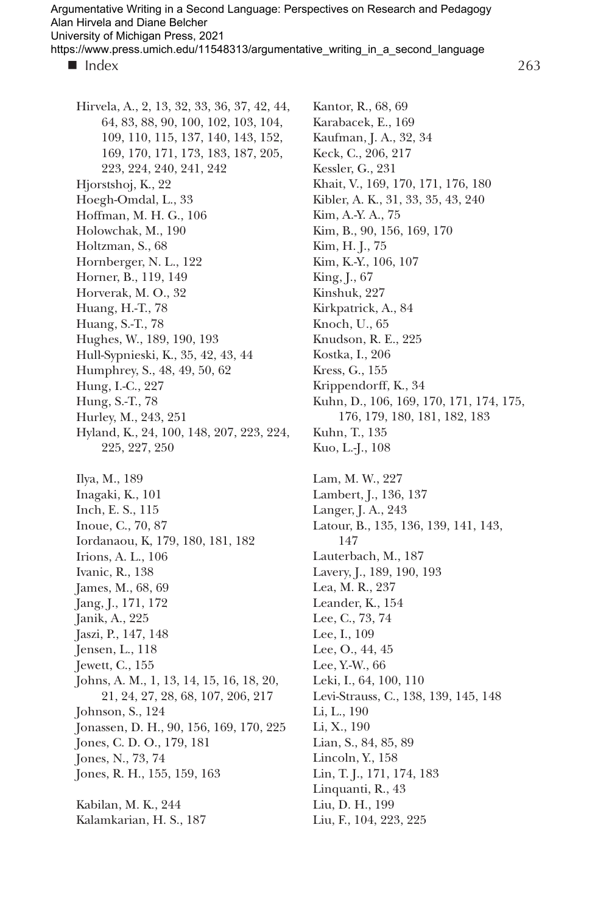Argumentative Writing in a Second Language: Perspectives on Research and Pedagogy Alan Hirvela and Diane Belcher University of Michigan Press, 2021

https://www.press.umich.edu/11548313/argumentative\_writing\_in\_a\_second\_language

 $\blacksquare$  Index

Hirvela, A., 2, 13, 32, 33, 36, 37, 42, 44, 64, 83, 88, 90, 100, 102, 103, 104, 109, 110, 115, 137, 140, 143, 152, 169, 170, 171, 173, 183, 187, 205, 223, 224, 240, 241, 242 Hjorstshoj, K., 22 Hoegh-Omdal, L., 33 Hoffman, M. H. G., 106 Holowchak, M., 190 Holtzman, S., 68 Hornberger, N. L., 122 Horner, B., 119, 149 Horverak, M. O., 32 Huang, H.-T., 78 Huang, S.-T., 78 Hughes, W., 189, 190, 193 Hull-Sypnieski, K., 35, 42, 43, 44 Humphrey, S., 48, 49, 50, 62 Hung, I.-C., 227 Hung, S.-T., 78 Hurley, M., 243, 251 Hyland, K., 24, 100, 148, 207, 223, 224, 225, 227, 250 Ilya, M., 189 Inagaki, K., 101 Inch, E. S., 115 Inoue, C., 70, 87 Iordanaou, K, 179, 180, 181, 182 Irions, A. L., 106 Ivanic, R., 138 James, M., 68, 69 Jang, J., 171, 172 Janik, A., 225 Jaszi, P., 147, 148 Jensen, L., 118 Jewett, C., 155 Johns, A. M., 1, 13, 14, 15, 16, 18, 20, 21, 24, 27, 28, 68, 107, 206, 217 Johnson, S., 124 Jonassen, D. H., 90, 156, 169, 170, 225 Jones, C. D. O., 179, 181 Jones, N., 73, 74 Jones, R. H., 155, 159, 163 Kabilan, M. K., 244 Kalamkarian, H. S., 187

Kantor, R., 68, 69 Karabacek, E., 169 Kaufman, J. A., 32, 34 Keck, C., 206, 217 Kessler, G., 231 Khait, V., 169, 170, 171, 176, 180 Kibler, A. K., 31, 33, 35, 43, 240 Kim, A.-Y. A., 75 Kim, B., 90, 156, 169, 170 Kim, H. J., 75 Kim, K.-Y., 106, 107 King, J., 67 Kinshuk, 227 Kirkpatrick, A., 84 Knoch, U., 65 Knudson, R. E., 225 Kostka, I., 206 Kress, G., 155 Krippendorff, K., 34 Kuhn, D., 106, 169, 170, 171, 174, 175, 176, 179, 180, 181, 182, 183 Kuhn, T., 135 Kuo, L.-J., 108 Lam, M. W., 227 Lambert, J., 136, 137 Langer, J. A., 243 Latour, B., 135, 136, 139, 141, 143, 147 Lauterbach, M., 187 Lavery, J., 189, 190, 193 Lea, M. R., 237 Leander, K., 154 Lee, C., 73, 74 Lee, I., 109 Lee, O., 44, 45 Lee, Y.-W., 66 Leki, I., 64, 100, 110 Levi-Strauss, C., 138, 139, 145, 148 Li, L., 190 Li, X., 190 Lian, S., 84, 85, 89 Lincoln, Y., 158 Lin, T. J., 171, 174, 183 Linquanti, R., 43 Liu, D. H., 199 Liu, F., 104, 223, 225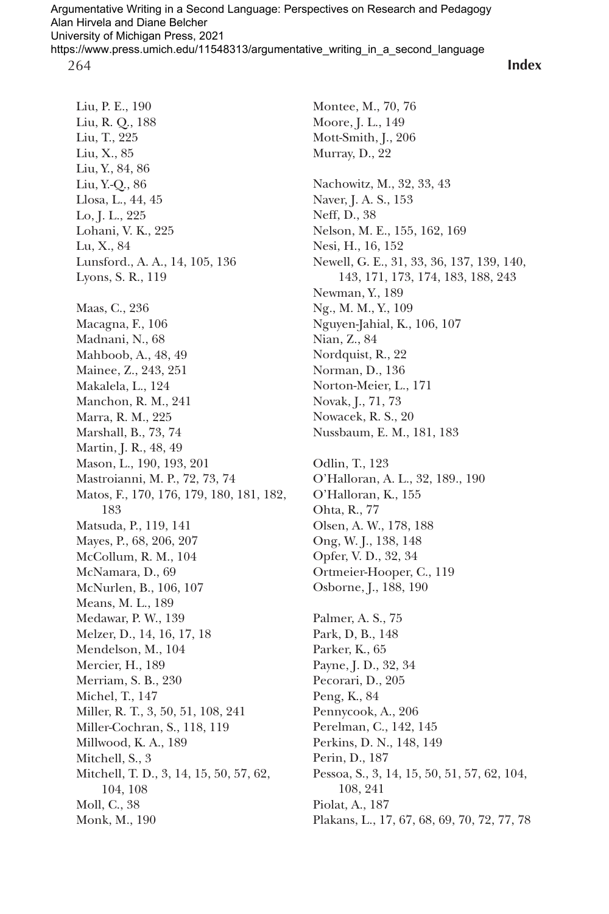**Index**

Liu, P. E., 190 Liu, R. Q., 188 Liu, T., 225 Liu, X., 85 Liu, Y., 84, 86 Liu, Y.-Q., 86 Llosa, L., 44, 45 Lo, J. L., 225 Lohani, V. K., 225 Lu, X., 84 Lunsford., A. A., 14, 105, 136 Lyons, S. R., 119 Maas, C., 236 Macagna, F., 106 Madnani, N., 68 Mahboob, A., 48, 49 Mainee, Z., 243, 251 Makalela, L., 124 Manchon, R. M., 241 Marra, R. M., 225 Marshall, B., 73, 74 Martin, J. R., 48, 49 Mason, L., 190, 193, 201 Mastroianni, M. P., 72, 73, 74 Matos, F., 170, 176, 179, 180, 181, 182, 183 Matsuda, P., 119, 141 Mayes, P., 68, 206, 207 McCollum, R. M., 104 McNamara, D., 69 McNurlen, B., 106, 107 Means, M. L., 189 Medawar, P. W., 139 Melzer, D., 14, 16, 17, 18 Mendelson, M., 104 Mercier, H., 189 Merriam, S. B., 230 Michel, T., 147 Miller, R. T., 3, 50, 51, 108, 241 Miller-Cochran, S., 118, 119 Millwood, K. A., 189 Mitchell, S., 3 Mitchell, T. D., 3, 14, 15, 50, 57, 62, 104, 108 Moll, C., 38 Monk, M., 190

Montee, M., 70, 76 Moore, J. L., 149 Mott-Smith, J., 206 Murray, D., 22 Nachowitz, M., 32, 33, 43 Naver, J. A. S., 153 Neff, D., 38 Nelson, M. E., 155, 162, 169 Nesi, H., 16, 152 Newell, G. E., 31, 33, 36, 137, 139, 140, 143, 171, 173, 174, 183, 188, 243 Newman, Y., 189 Ng., M. M., Y., 109 Nguyen-Jahial, K., 106, 107 Nian, Z., 84 Nordquist, R., 22 Norman, D., 136 Norton-Meier, L., 171 Novak, J., 71, 73 Nowacek, R. S., 20 Nussbaum, E. M., 181, 183 Odlin, T., 123 O'Halloran, A. L., 32, 189., 190 O'Halloran, K., 155 Ohta, R., 77 Olsen, A. W., 178, 188 Ong, W. J., 138, 148 Opfer, V. D., 32, 34 Ortmeier-Hooper, C., 119 Osborne, J., 188, 190 Palmer, A. S., 75 Park, D, B., 148 Parker, K., 65 Payne, J. D., 32, 34 Pecorari, D., 205 Peng, K., 84 Pennycook, A., 206 Perelman, C., 142, 145 Perkins, D. N., 148, 149 Perin, D., 187

Pessoa, S., 3, 14, 15, 50, 51, 57, 62, 104, 108, 241 Piolat, A., 187

Plakans, L., 17, 67, 68, 69, 70, 72, 77, 78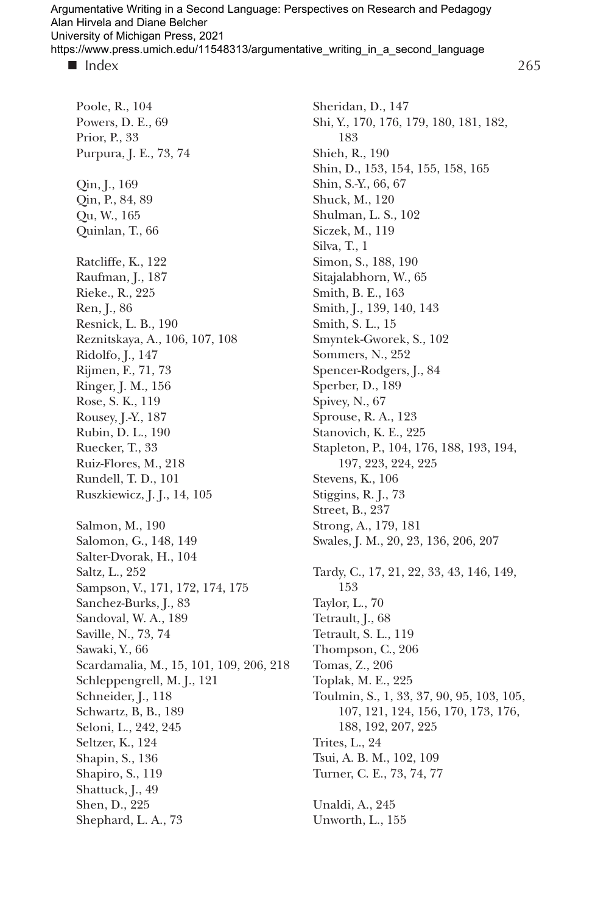265

Poole, R., 104 Powers, D. E., 69 Prior, P., 33 Purpura, J. E., 73, 74 Qin, J., 169 Qin, P., 84, 89 Qu, W., 165 Quinlan, T., 66 Ratcliffe, K., 122 Raufman, J., 187 Rieke., R., 225 Ren, J., 86 Resnick, L. B., 190 Reznitskaya, A., 106, 107, 108 Ridolfo, J., 147 Rijmen, F., 71, 73 Ringer, J. M., 156 Rose, S. K., 119 Rousey, J.-Y., 187 Rubin, D. L., 190 Ruecker, T., 33 Ruiz-Flores, M., 218 Rundell, T. D., 101 Ruszkiewicz, J. J., 14, 105 Salmon, M., 190 Salomon, G., 148, 149 Salter-Dvorak, H., 104 Saltz, L., 252 Sampson, V., 171, 172, 174, 175 Sanchez-Burks, J., 83 Sandoval, W. A., 189 Saville, N., 73, 74 Sawaki, Y., 66 Scardamalia, M., 15, 101, 109, 206, 218 Schleppengrell, M. J., 121 Schneider, J., 118 Schwartz, B, B., 189 Seloni, L., 242, 245 Seltzer, K., 124 Shapin, S., 136 Shapiro, S., 119 Shattuck, J., 49 Shen, D., 225 Shephard, L. A., 73

Sheridan, D., 147 Shi, Y., 170, 176, 179, 180, 181, 182, 183 Shieh, R., 190 Shin, D., 153, 154, 155, 158, 165 Shin, S.-Y., 66, 67 Shuck, M., 120 Shulman, L. S., 102 Siczek, M., 119 Silva, T., 1 Simon, S., 188, 190 Sitajalabhorn, W., 65 Smith, B. E., 163 Smith, J., 139, 140, 143 Smith, S. L., 15 Smyntek-Gworek, S., 102 Sommers, N., 252 Spencer-Rodgers, J., 84 Sperber, D., 189 Spivey, N., 67 Sprouse, R. A., 123 Stanovich, K. E., 225 Stapleton, P., 104, 176, 188, 193, 194, 197, 223, 224, 225 Stevens, K., 106 Stiggins, R. J., 73 Street, B., 237 Strong, A., 179, 181 Swales, J. M., 20, 23, 136, 206, 207 Tardy, C., 17, 21, 22, 33, 43, 146, 149, 153 Taylor, L., 70 Tetrault, J., 68 Tetrault, S. L., 119 Thompson, C., 206 Tomas, Z., 206 Toplak, M. E., 225 Toulmin, S., 1, 33, 37, 90, 95, 103, 105, 107, 121, 124, 156, 170, 173, 176, 188, 192, 207, 225 Trites, L., 24 Tsui, A. B. M., 102, 109 Turner, C. E., 73, 74, 77 Unaldi, A., 245 Unworth, L., 155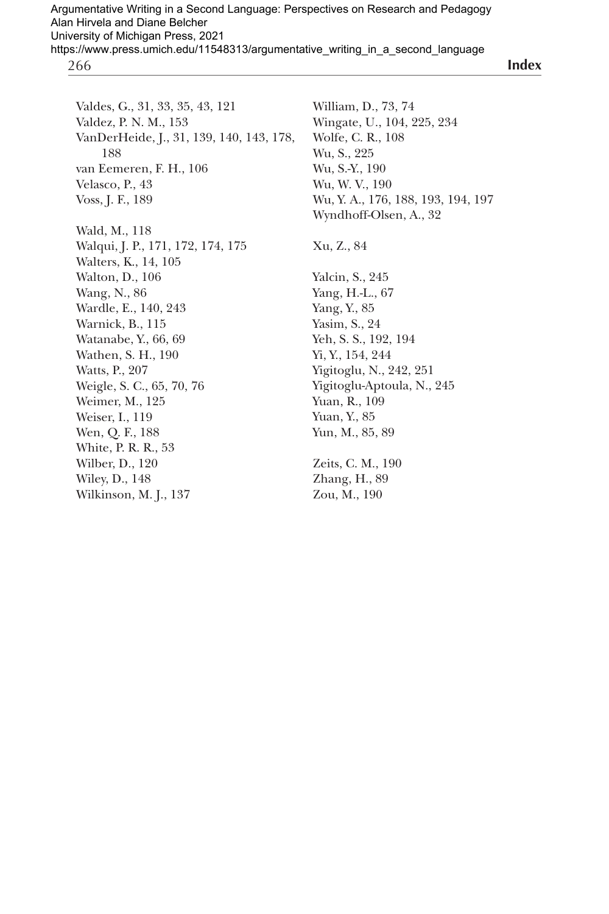**Index**

Valdes, G., 31, 33, 35, 43, 121 Valdez, P. N. M., 153 VanDerHeide, J., 31, 139, 140, 143, 178, 188 van Eemeren, F. H., 106 Velasco, P., 43 Voss, J. F., 189 Wald, M., 118 Walqui, J. P., 171, 172, 174, 175 Walters, K., 14, 105 Walton, D., 106 Wang, N., 86 Wardle, E., 140, 243 Warnick, B., 115 Watanabe, Y., 66, 69 Wathen, S. H., 190 Watts, P., 207 Weigle, S. C., 65, 70, 76 Weimer, M., 125 Weiser, I., 119 Wen, Q. F., 188 White, P. R. R., 53 Wilber, D., 120 Wiley, D., 148 Wilkinson, M. J., 137

William, D., 73, 74 Wingate, U., 104, 225, 234 Wolfe, C. R., 108 Wu, S., 225 Wu, S.-Y., 190 Wu, W. V., 190 Wu, Y. A., 176, 188, 193, 194, 197 Wyndhoff-Olsen, A., 32 Xu, Z., 84 Yalcin, S., 245 Yang, H.-L., 67 Yang, Y., 85 Yasim, S., 24 Yeh, S. S., 192, 194 Yi, Y., 154, 244 Yigitoglu, N., 242, 251 Yigitoglu-Aptoula, N., 245 Yuan, R., 109 Yuan, Y., 85 Yun, M., 85, 89 Zeits, C. M., 190 Zhang, H., 89 Zou, M., 190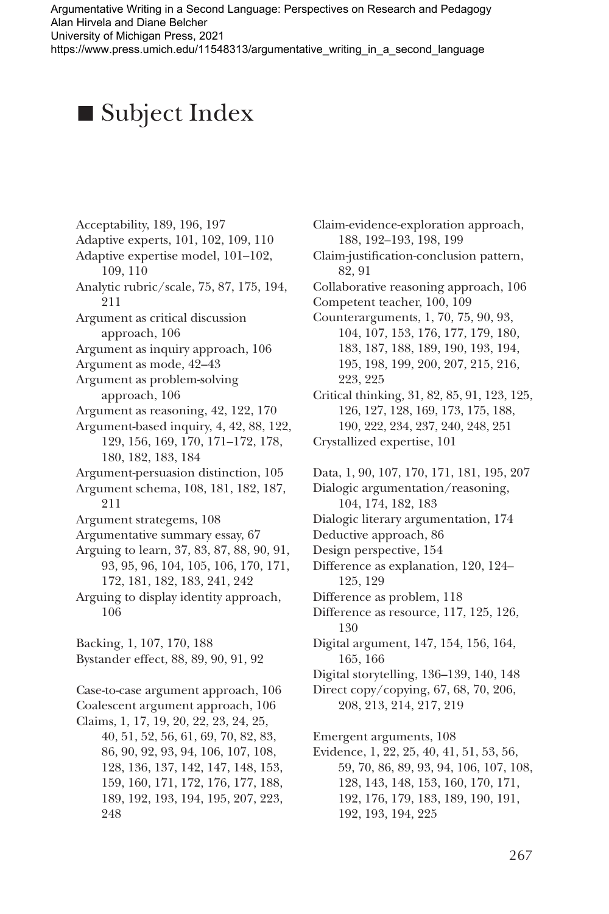Argumentative Writing in a Second Language: Perspectives on Research and Pedagogy Alan Hirvela and Diane Belcher University of Michigan Press, 2021

https://www.press.umich.edu/11548313/argumentative\_writing\_in\_a\_second\_language

## **•** Subject Index

Acceptability, 189, 196, 197 Adaptive experts, 101, 102, 109, 110 Adaptive expertise model, 101–102, 109, 110 Analytic rubric/scale, 75, 87, 175, 194, 211 Argument as critical discussion approach, 106 Argument as inquiry approach, 106 Argument as mode, 42–43 Argument as problem-solving approach, 106 Argument as reasoning, 42, 122, 170 Argument-based inquiry, 4, 42, 88, 122, 129, 156, 169, 170, 171–172, 178, 180, 182, 183, 184 Argument-persuasion distinction, 105 Argument schema, 108, 181, 182, 187, 211 Argument strategems, 108 Argumentative summary essay, 67 Arguing to learn, 37, 83, 87, 88, 90, 91, 93, 95, 96, 104, 105, 106, 170, 171, 172, 181, 182, 183, 241, 242 Arguing to display identity approach, 106 Backing, 1, 107, 170, 188 Bystander effect, 88, 89, 90, 91, 92 Case-to-case argument approach, 106 Coalescent argument approach, 106 Claims, 1, 17, 19, 20, 22, 23, 24, 25, 40, 51, 52, 56, 61, 69, 70, 82, 83, 86, 90, 92, 93, 94, 106, 107, 108, 128, 136, 137, 142, 147, 148, 153, 159, 160, 171, 172, 176, 177, 188, 189, 192, 193, 194, 195, 207, 223, 248

Claim-evidence-exploration approach, 188, 192–193, 198, 199 Claim-justification-conclusion pattern, 82, 91 Collaborative reasoning approach, 106 Competent teacher, 100, 109 Counterarguments, 1, 70, 75, 90, 93, 104, 107, 153, 176, 177, 179, 180, 183, 187, 188, 189, 190, 193, 194, 195, 198, 199, 200, 207, 215, 216, 223, 225 Critical thinking, 31, 82, 85, 91, 123, 125, 126, 127, 128, 169, 173, 175, 188, 190, 222, 234, 237, 240, 248, 251 Crystallized expertise, 101 Data, 1, 90, 107, 170, 171, 181, 195, 207 Dialogic argumentation/reasoning, 104, 174, 182, 183 Dialogic literary argumentation, 174 Deductive approach, 86 Design perspective, 154 Difference as explanation, 120, 124– 125, 129 Difference as problem, 118 Difference as resource, 117, 125, 126, 130 Digital argument, 147, 154, 156, 164, 165, 166 Digital storytelling, 136–139, 140, 148 Direct copy/copying, 67, 68, 70, 206, 208, 213, 214, 217, 219 Emergent arguments, 108 Evidence, 1, 22, 25, 40, 41, 51, 53, 56, 59, 70, 86, 89, 93, 94, 106, 107, 108, 128, 143, 148, 153, 160, 170, 171, 192, 176, 179, 183, 189, 190, 191,

192, 193, 194, 225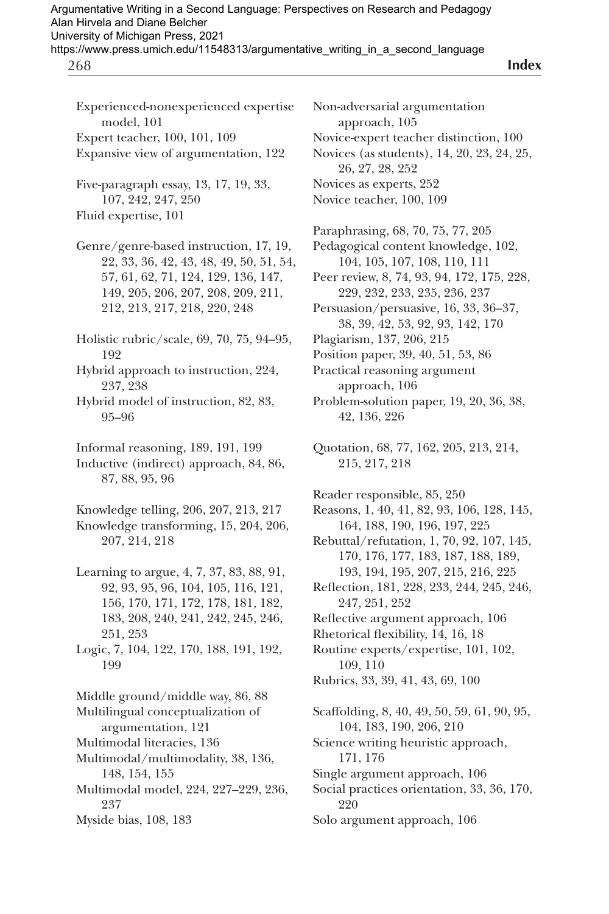**Index**

Experienced-nonexperienced expertise model, 101 Expert teacher, 100, 101, 109 Expansive view of argumentation, 122

Five-paragraph essay, 13, 17, 19, 33, 107, 242, 247, 250 Fluid expertise, 101

Genre/genre-based instruction, 17, 19, 22, 33, 36, 42, 43, 48, 49, 50, 51, 54, 57, 61, 62, 71, 124, 129, 136, 147, 149, 205, 206, 207, 208, 209, 211, 212, 213, 217, 218, 220, 248

Holistic rubric/scale, 69, 70, 75, 94–95, 192

Hybrid approach to instruction, 224, 237, 238

Hybrid model of instruction, 82, 83, 95–96

Informal reasoning, 189, 191, 199

Inductive (indirect) approach, 84, 86, 87, 88, 95, 96

Knowledge telling, 206, 207, 213, 217 Knowledge transforming, 15, 204, 206, 207, 214, 218

- Learning to argue, 4, 7, 37, 83, 88, 91, 92, 93, 95, 96, 104, 105, 116, 121, 156, 170, 171, 172, 178, 181, 182, 183, 208, 240, 241, 242, 245, 246, 251, 253
- Logic, 7, 104, 122, 170, 188, 191, 192, 199

Middle ground/middle way, 86, 88 Multilingual conceptualization of

argumentation, 121

- Multimodal literacies, 136 Multimodal/multimodality, 38, 136, 148, 154, 155
- Multimodal model, 224, 227–229, 236, 237
- Myside bias, 108, 183

Non-adversarial argumentation approach, 105 Novice-expert teacher distinction, 100 Novices (as students), 14, 20, 23, 24, 25, 26, 27, 28, 252 Novices as experts, 252 Novice teacher, 100, 109 Paraphrasing, 68, 70, 75, 77, 205

- Pedagogical content knowledge, 102, 104, 105, 107, 108, 110, 111
- Peer review, 8, 74, 93, 94, 172, 175, 228, 229, 232, 233, 235, 236, 237
- Persuasion/persuasive, 16, 33, 36–37, 38, 39, 42, 53, 92, 93, 142, 170
- Plagiarism, 137, 206, 215
- Position paper, 39, 40, 51, 53, 86

Practical reasoning argument

approach, 106

Problem-solution paper, 19, 20, 36, 38, 42, 136, 226

Reader responsible, 85, 250 Reasons, 1, 40, 41, 82, 93, 106, 128, 145, 164, 188, 190, 196, 197, 225 Rebuttal/refutation, 1, 70, 92, 107, 145, 170, 176, 177, 183, 187, 188, 189, 193, 194, 195, 207, 215, 216, 225 Reflection, 181, 228, 233, 244, 245, 246, 247, 251, 252 Reflective argument approach, 106 Rhetorical flexibility, 14, 16, 18 Routine experts/expertise, 101, 102,

109, 110

Rubrics, 33, 39, 41, 43, 69, 100

Scaffolding, 8, 40, 49, 50, 59, 61, 90, 95, 104, 183, 190, 206, 210 Science writing heuristic approach, 171, 176 Single argument approach, 106

- Social practices orientation, 33, 36, 170, 220
- Solo argument approach, 106

Quotation, 68, 77, 162, 205, 213, 214, 215, 217, 218